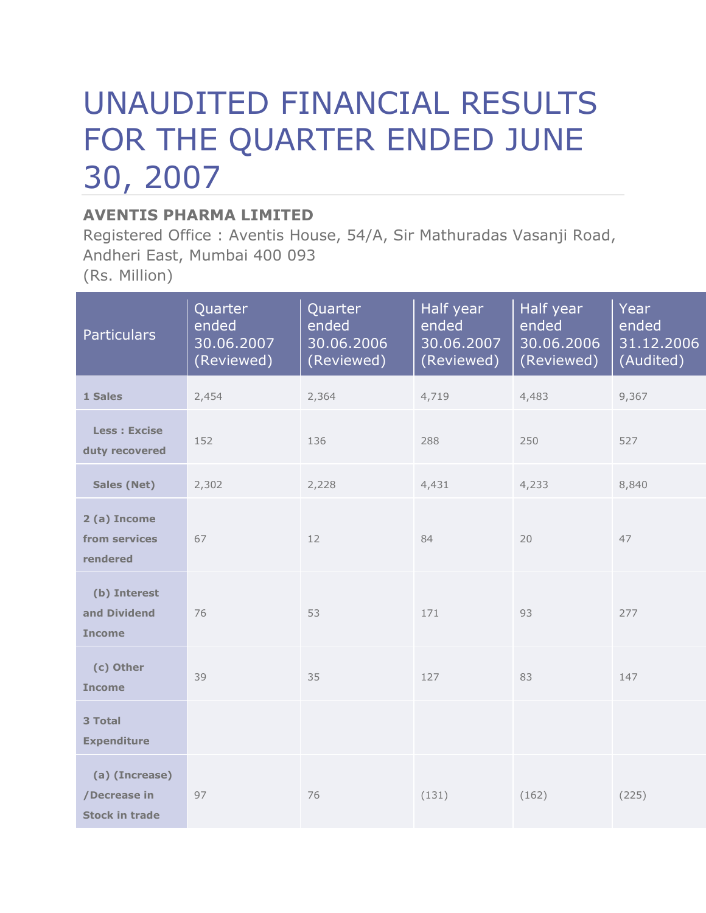## UNAUDITED FINANCIAL RESULTS FOR THE QUARTER ENDED JUNE 30, 2007

## **AVENTIS PHARMA LIMITED**

Registered Office : Aventis House, 54/A, Sir Mathuradas Vasanji Road, Andheri East, Mumbai 400 093 (Rs. Million)

**Particulars** Quarter ended 30.06.2007 (Reviewed) **Quarter** ended 30.06.2006 (Reviewed) Half year ended 30.06.2007 (Reviewed) Half year ended 30.06.2006 (Reviewed) Year ended 31.12.2006 (Audited) **1 Sales** 2,454 2,364 4,719 4,483 9,367  **Less : Excise duty recovered** 152 136 288 250 527 **Sales (Net)** 2,302 2,228 4,431 4,233 8,840 **2 (a) Income from services rendered** 67 12 12 84 20 47  **(b) Interest and Dividend Income** 76 53 171 93 277  **(c) Other Income** 39 35 127 83 147 **3 Total Expenditure (a) (Increase) /Decrease in Stock in trade** 97 76 (131) (162) (225)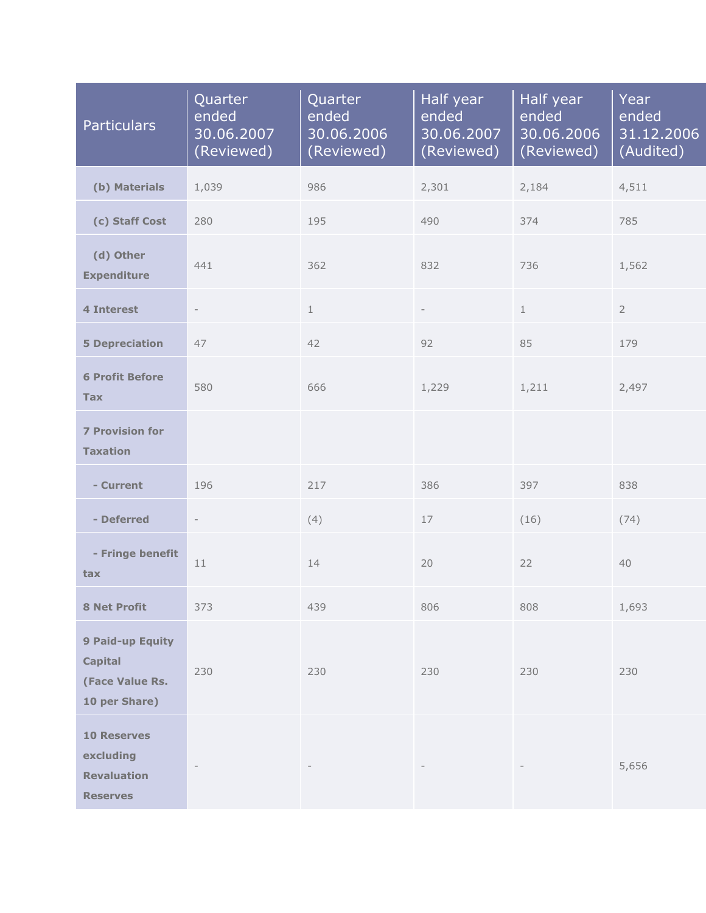| <b>Particulars</b>                                                       | Quarter<br>Quarter<br>ended<br>ended<br>30.06.2007<br>30.06.2006<br>(Reviewed)<br>(Reviewed) |     | Half year<br>ended<br>30.06.2007<br>(Reviewed) | Half year<br>ended<br>30.06.2006<br>(Reviewed) | Year<br>ended<br>31.12.2006<br>(Audited) |
|--------------------------------------------------------------------------|----------------------------------------------------------------------------------------------|-----|------------------------------------------------|------------------------------------------------|------------------------------------------|
| (b) Materials                                                            | 1,039                                                                                        | 986 | 2,301                                          | 2,184                                          | 4,511                                    |
| (c) Staff Cost                                                           | 280                                                                                          | 195 | 490                                            | 374                                            | 785                                      |
| (d) Other<br><b>Expenditure</b>                                          | 441                                                                                          |     | 832                                            | 736                                            | 1,562                                    |
| <b>4 Interest</b>                                                        | $\mathbf{1}$<br>$\qquad \qquad -$                                                            |     |                                                | $\mathbf{1}$                                   | $\overline{2}$                           |
| <b>5 Depreciation</b>                                                    | 47                                                                                           |     | 92                                             | 85                                             | 179                                      |
| <b>6 Profit Before</b><br><b>Tax</b>                                     | 580                                                                                          |     | 1,229                                          | 1,211                                          | 2,497                                    |
| <b>7 Provision for</b><br><b>Taxation</b>                                |                                                                                              |     |                                                |                                                |                                          |
| - Current                                                                | 196                                                                                          | 217 | 386                                            | 397                                            | 838                                      |
| - Deferred                                                               | $\overline{\phantom{a}}$                                                                     | (4) | 17                                             | (16)                                           | (74)                                     |
| - Fringe benefit<br>tax                                                  | 11                                                                                           | 14  | 20                                             | 22                                             | 40                                       |
| <b>8 Net Profit</b>                                                      | 373                                                                                          | 439 | 806                                            | 808                                            | 1,693                                    |
| 9 Paid-up Equity<br><b>Capital</b><br>(Face Value Rs.<br>10 per Share)   | 230<br>230                                                                                   |     | 230                                            | 230                                            | 230                                      |
| <b>10 Reserves</b><br>excluding<br><b>Revaluation</b><br><b>Reserves</b> |                                                                                              |     |                                                |                                                | 5,656                                    |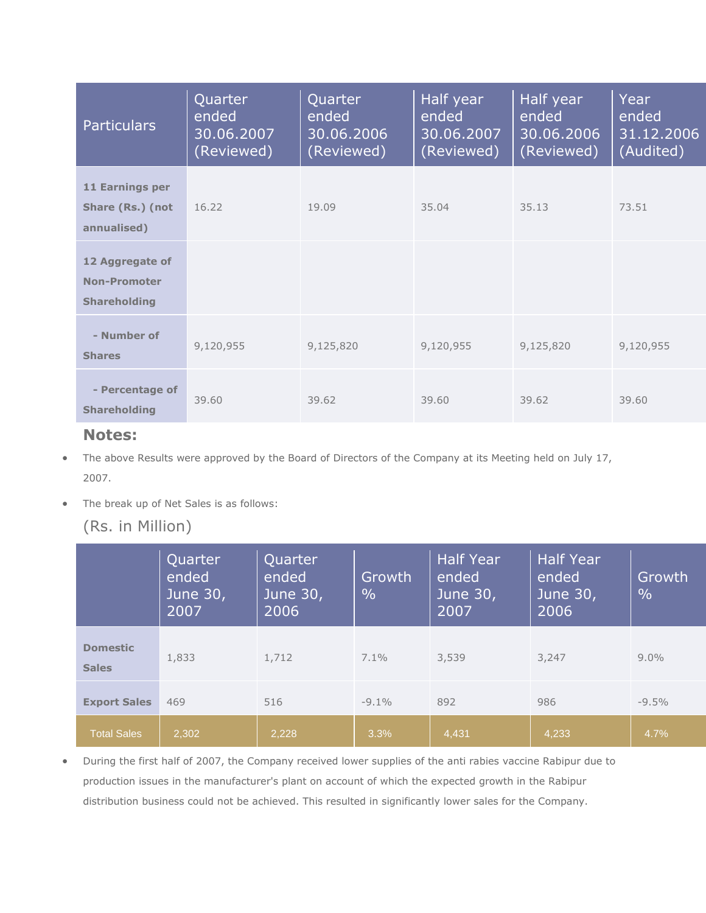| <b>Particulars</b>                                            | Quarter<br>ended<br>30.06.2007<br>(Reviewed) | Quarter<br>ended<br>30.06.2006<br>(Reviewed) | Half year<br>ended<br>30.06.2007<br>(Reviewed) | Half year<br>ended<br>30.06.2006<br>(Reviewed) | Year<br>ended<br>31.12.2006<br>(Audited) |
|---------------------------------------------------------------|----------------------------------------------|----------------------------------------------|------------------------------------------------|------------------------------------------------|------------------------------------------|
| 11 Earnings per<br>Share (Rs.) (not<br>annualised)            | 16.22                                        | 19.09                                        | 35.04                                          | 35.13                                          | 73.51                                    |
| 12 Aggregate of<br><b>Non-Promoter</b><br><b>Shareholding</b> |                                              |                                              |                                                |                                                |                                          |
| - Number of<br><b>Shares</b>                                  | 9,120,955                                    | 9,125,820                                    | 9,120,955                                      | 9,125,820                                      | 9,120,955                                |
| - Percentage of<br><b>Shareholding</b>                        | 39.60                                        | 39.62                                        | 39.60                                          | 39.62                                          | 39.60                                    |

## **Notes:**

- The above Results were approved by the Board of Directors of the Company at its Meeting held on July 17, 2007.
- The break up of Net Sales is as follows:

## (Rs. in Million)

|                                 | Quarter<br>ended<br>June 30,<br>2007 | Quarter<br>ended<br>June 30,<br>2006 | Growth<br>$\frac{0}{0}$ | <b>Half Year</b><br>ended<br>June 30,<br>2007 | <b>Half Year</b><br>ended<br>June 30,<br>2006 | Growth<br>$\frac{0}{0}$ |
|---------------------------------|--------------------------------------|--------------------------------------|-------------------------|-----------------------------------------------|-----------------------------------------------|-------------------------|
| <b>Domestic</b><br><b>Sales</b> | 1,833                                | 1,712                                | $7.1\%$                 | 3,539                                         | 3,247                                         | $9.0\%$                 |
| <b>Export Sales</b>             | 469                                  | 516                                  | $-9.1\%$                | 892                                           | 986                                           | $-9.5%$                 |
| <b>Total Sales</b>              | 2,302                                | 2,228                                | 3.3%                    | 4,431                                         | 4,233                                         | 4.7%                    |

 During the first half of 2007, the Company received lower supplies of the anti rabies vaccine Rabipur due to production issues in the manufacturer's plant on account of which the expected growth in the Rabipur distribution business could not be achieved. This resulted in significantly lower sales for the Company.